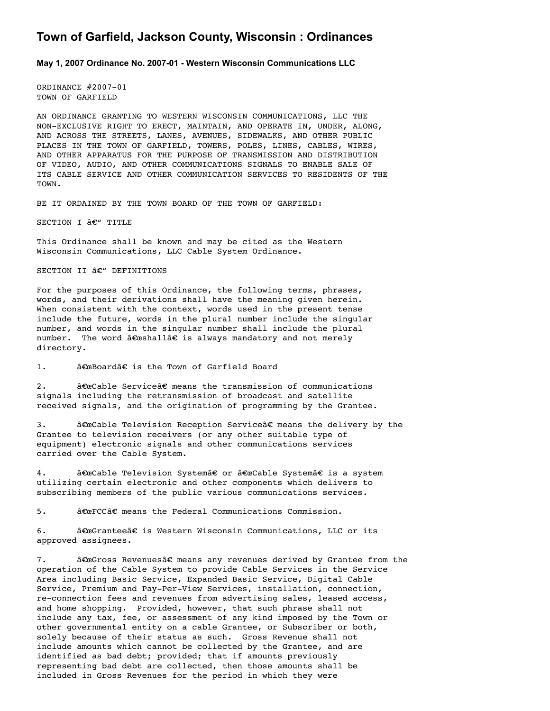# **Town of Garfield, Jackson County, Wisconsin : Ordinances**

**May 1, 2007 Ordinance No. 200701 Western Wisconsin Communications LLC**

ORDINANCE #2007-01 TOWN OF GARFIELD

AN ORDINANCE GRANTING TO WESTERN WISCONSIN COMMUNICATIONS, LLC THE NON-EXCLUSIVE RIGHT TO ERECT, MAINTAIN, AND OPERATE IN, UNDER, ALONG, AND ACROSS THE STREETS, LANES, AVENUES, SIDEWALKS, AND OTHER PUBLIC PLACES IN THE TOWN OF GARFIELD, TOWERS, POLES, LINES, CABLES, WIRES, AND OTHER APPARATUS FOR THE PURPOSE OF TRANSMISSION AND DISTRIBUTION OF VIDEO, AUDIO, AND OTHER COMMUNICATIONS SIGNALS TO ENABLE SALE OF ITS CABLE SERVICE AND OTHER COMMUNICATION SERVICES TO RESIDENTS OF THE TOWN.

BE IT ORDAINED BY THE TOWN BOARD OF THE TOWN OF GARFIELD:

SECTION I  $\hat{a}\epsilon$ " TITLE

This Ordinance shall be known and may be cited as the Western Wisconsin Communications, LLC Cable System Ordinance.

SECTION II  $\hat{a}\in$ " DEFINITIONS

For the purposes of this Ordinance, the following terms, phrases, words, and their derivations shall have the meaning given herein. When consistent with the context, words used in the present tense include the future, words in the plural number include the singular number, and words in the singular number shall include the plural number. The word  $\hat{a} \in \text{cshall}$  is always mandatory and not merely directory.

1. a€ceBoard†is the Town of Garfield Board

2.  $\hat{a} \in \mathbb{C}$  at  $\hat{c} \in \mathbb{C}$  means the transmission of communications signals including the retransmission of broadcast and satellite received signals, and the origination of programming by the Grantee.

3. a€œCable Television Reception Service†means the delivery by the Grantee to television receivers (or any other suitable type of equipment) electronic signals and other communications services carried over the Cable System.

4. a€œCable Television System†or "Cable System†is a system utilizing certain electronic and other components which delivers to subscribing members of the public various communications services.

 $5.$   $\hat{\text{a}}\text{E}\text{c}\text{F}\text{C}\text{C}\hat{\text{a}}\text{E}$  means the Federal Communications Commission.

6.  $\hat{\mathbf{a}} \in \mathbb{C}$  at  $\hat{\mathbf{c}} \in \hat{\mathbf{c}}$  is Western Wisconsin Communications, LLC or its approved assignees.

7. a€œGross Revenues†means any revenues derived by Grantee from the operation of the Cable System to provide Cable Services in the Service Area including Basic Service, Expanded Basic Service, Digital Cable Service, Premium and Pay-Per-View Services, installation, connection, re-connection fees and revenues from advertising sales, leased access, and home shopping. Provided, however, that such phrase shall not include any tax, fee, or assessment of any kind imposed by the Town or other governmental entity on a cable Grantee, or Subscriber or both, solely because of their status as such. Gross Revenue shall not include amounts which cannot be collected by the Grantee, and are identified as bad debt; provided; that if amounts previously representing bad debt are collected, then those amounts shall be included in Gross Revenues for the period in which they were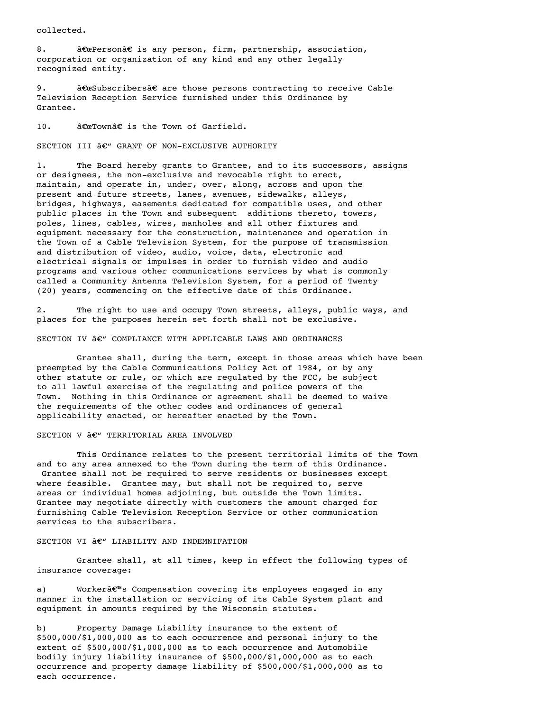collected.

8. **a**€ aPersona<sup>€</sup> is any person, firm, partnership, association, corporation or organization of any kind and any other legally recognized entity.

9. a€œSubscribers†are those persons contracting to receive Cable Television Reception Service furnished under this Ordinance by Grantee.

10.  $\hat{a} \in \mathbb{C}$ Town $\hat{a} \in \mathbb{C}$  is the Town of Garfield.

SECTION III  $\hat{a}\epsilon$ " GRANT OF NON-EXCLUSIVE AUTHORITY

1. The Board hereby grants to Grantee, and to its successors, assigns or designees, the non-exclusive and revocable right to erect, maintain, and operate in, under, over, along, across and upon the present and future streets, lanes, avenues, sidewalks, alleys, bridges, highways, easements dedicated for compatible uses, and other public places in the Town and subsequent additions thereto, towers, poles, lines, cables, wires, manholes and all other fixtures and equipment necessary for the construction, maintenance and operation in the Town of a Cable Television System, for the purpose of transmission and distribution of video, audio, voice, data, electronic and electrical signals or impulses in order to furnish video and audio programs and various other communications services by what is commonly called a Community Antenna Television System, for a period of Twenty (20) years, commencing on the effective date of this Ordinance.

2. The right to use and occupy Town streets, alleys, public ways, and places for the purposes herein set forth shall not be exclusive.

SECTION IV  $\hat{a}\epsilon^{\prime\prime}$  COMPLIANCE WITH APPLICABLE LAWS AND ORDINANCES

Grantee shall, during the term, except in those areas which have been preempted by the Cable Communications Policy Act of 1984, or by any other statute or rule, or which are regulated by the FCC, be subject to all lawful exercise of the regulating and police powers of the Town. Nothing in this Ordinance or agreement shall be deemed to waive the requirements of the other codes and ordinances of general applicability enacted, or hereafter enacted by the Town.

SECTION V  $\hat{a}\in$ " TERRITORIAL AREA INVOLVED

This Ordinance relates to the present territorial limits of the Town and to any area annexed to the Town during the term of this Ordinance. Grantee shall not be required to serve residents or businesses except where feasible. Grantee may, but shall not be required to, serve areas or individual homes adjoining, but outside the Town limits. Grantee may negotiate directly with customers the amount charged for furnishing Cable Television Reception Service or other communication services to the subscribers.

# SECTION VI  $\hat{a}\in$ " LIABILITY AND INDEMNIFATION

Grantee shall, at all times, keep in effect the following types of insurance coverage:

a) Workerâ€<sup>™</sup>s Compensation covering its employees engaged in any manner in the installation or servicing of its Cable System plant and equipment in amounts required by the Wisconsin statutes.

b) Property Damage Liability insurance to the extent of \$500,000/\$1,000,000 as to each occurrence and personal injury to the extent of \$500,000/\$1,000,000 as to each occurrence and Automobile bodily injury liability insurance of \$500,000/\$1,000,000 as to each occurrence and property damage liability of \$500,000/\$1,000,000 as to each occurrence.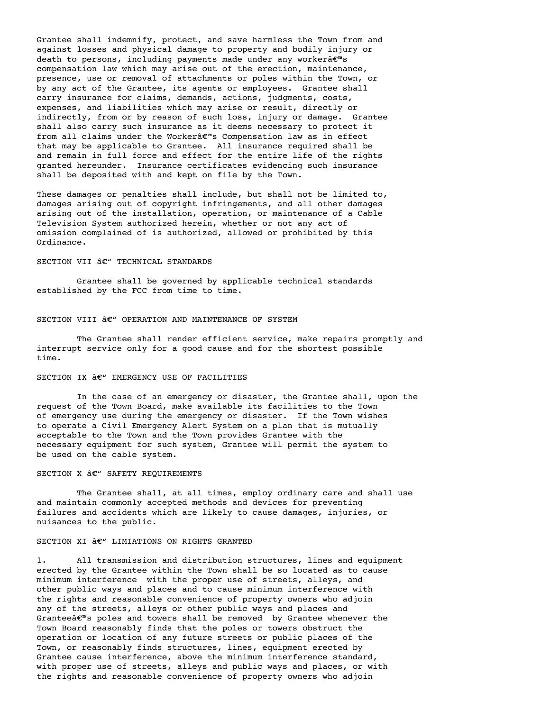Grantee shall indemnify, protect, and save harmless the Town from and against losses and physical damage to property and bodily injury or death to persons, including payments made under any worker $\hat{\mathbf{a}} \in \mathbb{R}^m$ s compensation law which may arise out of the erection, maintenance, presence, use or removal of attachments or poles within the Town, or by any act of the Grantee, its agents or employees. Grantee shall carry insurance for claims, demands, actions, judgments, costs, expenses, and liabilities which may arise or result, directly or indirectly, from or by reason of such loss, injury or damage. Grantee shall also carry such insurance as it deems necessary to protect it from all claims under the Workera<sup>em</sup>s Compensation law as in effect that may be applicable to Grantee. All insurance required shall be and remain in full force and effect for the entire life of the rights granted hereunder. Insurance certificates evidencing such insurance shall be deposited with and kept on file by the Town.

These damages or penalties shall include, but shall not be limited to, damages arising out of copyright infringements, and all other damages arising out of the installation, operation, or maintenance of a Cable Television System authorized herein, whether or not any act of omission complained of is authorized, allowed or prohibited by this Ordinance.

# SECTION VII  $\hat{a}\in$ " TECHNICAL STANDARDS

Grantee shall be governed by applicable technical standards established by the FCC from time to time.

#### SECTION VIII  $\hat{a}\in$ " OPERATION AND MAINTENANCE OF SYSTEM

The Grantee shall render efficient service, make repairs promptly and interrupt service only for a good cause and for the shortest possible time.

# SECTION IX  $\hat{a}\in$  " EMERGENCY USE OF FACILITIES

In the case of an emergency or disaster, the Grantee shall, upon the request of the Town Board, make available its facilities to the Town of emergency use during the emergency or disaster. If the Town wishes to operate a Civil Emergency Alert System on a plan that is mutually acceptable to the Town and the Town provides Grantee with the necessary equipment for such system, Grantee will permit the system to be used on the cable system.

# SECTION X  $\hat{a}\in$ " SAFETY REQUIREMENTS

The Grantee shall, at all times, employ ordinary care and shall use and maintain commonly accepted methods and devices for preventing failures and accidents which are likely to cause damages, injuries, or nuisances to the public.

### SECTION XI  $\hat{a}\in$ " LIMIATIONS ON RIGHTS GRANTED

1. All transmission and distribution structures, lines and equipment erected by the Grantee within the Town shall be so located as to cause minimum interference with the proper use of streets, alleys, and other public ways and places and to cause minimum interference with the rights and reasonable convenience of property owners who adjoin any of the streets, alleys or other public ways and places and Grantee $\hat{\mathbf{a}} \in \mathbb{R}^m$ s poles and towers shall be removed by Grantee whenever the Town Board reasonably finds that the poles or towers obstruct the operation or location of any future streets or public places of the Town, or reasonably finds structures, lines, equipment erected by Grantee cause interference, above the minimum interference standard, with proper use of streets, alleys and public ways and places, or with the rights and reasonable convenience of property owners who adjoin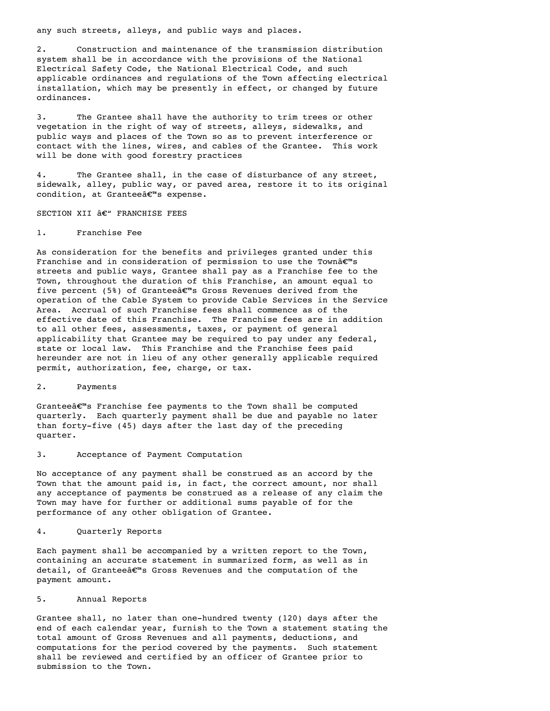any such streets, alleys, and public ways and places.

2. Construction and maintenance of the transmission distribution system shall be in accordance with the provisions of the National Electrical Safety Code, the National Electrical Code, and such applicable ordinances and regulations of the Town affecting electrical installation, which may be presently in effect, or changed by future ordinances.

3. The Grantee shall have the authority to trim trees or other vegetation in the right of way of streets, alleys, sidewalks, and public ways and places of the Town so as to prevent interference or contact with the lines, wires, and cables of the Grantee. This work will be done with good forestry practices

4. The Grantee shall, in the case of disturbance of any street, sidewalk, alley, public way, or paved area, restore it to its original condition, at Granteeâ€<sup>™</sup>s expense.

SECTION XII  $\hat{a}\in$ " FRANCHISE FEES

# 1. Franchise Fee

As consideration for the benefits and privileges granted under this Franchise and in consideration of permission to use the Townâ€<sup>™</sup>s streets and public ways, Grantee shall pay as a Franchise fee to the Town, throughout the duration of this Franchise, an amount equal to five percent (5%) of Grantee $\hat{\mathbf{a}} \in \mathbb{R}^n$ s Gross Revenues derived from the operation of the Cable System to provide Cable Services in the Service Area. Accrual of such Franchise fees shall commence as of the effective date of this Franchise. The Franchise fees are in addition to all other fees, assessments, taxes, or payment of general applicability that Grantee may be required to pay under any federal, state or local law. This Franchise and the Franchise fees paid hereunder are not in lieu of any other generally applicable required permit, authorization, fee, charge, or tax.

#### 2. Payments

Granteeâ€<sup>™</sup>s Franchise fee payments to the Town shall be computed quarterly. Each quarterly payment shall be due and payable no later than forty-five (45) days after the last day of the preceding quarter.

# 3. Acceptance of Payment Computation

No acceptance of any payment shall be construed as an accord by the Town that the amount paid is, in fact, the correct amount, nor shall any acceptance of payments be construed as a release of any claim the Town may have for further or additional sums payable of for the performance of any other obligation of Grantee.

# 4. Quarterly Reports

Each payment shall be accompanied by a written report to the Town, containing an accurate statement in summarized form, as well as in detail, of Granteeâ€<sup>m</sup>s Gross Revenues and the computation of the payment amount.

# 5. Annual Reports

Grantee shall, no later than one-hundred twenty (120) days after the end of each calendar year, furnish to the Town a statement stating the total amount of Gross Revenues and all payments, deductions, and computations for the period covered by the payments. Such statement shall be reviewed and certified by an officer of Grantee prior to submission to the Town.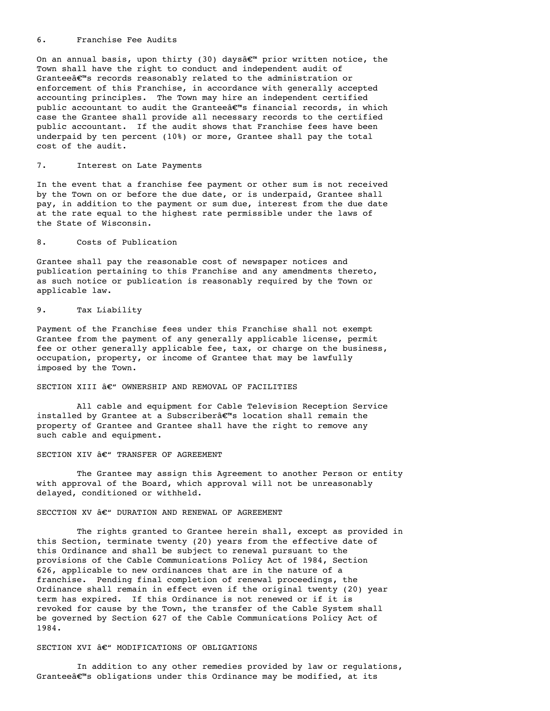#### 6. Franchise Fee Audits

On an annual basis, upon thirty (30) daysâ $\varepsilon^{m}$  prior written notice, the Town shall have the right to conduct and independent audit of Granteeâ $\varepsilon$ <sup>m</sup>s records reasonably related to the administration or enforcement of this Franchise, in accordance with generally accepted accounting principles. The Town may hire an independent certified public accountant to audit the Granteea $\varepsilon^{\mathfrak{m}}$ s financial records, in which case the Grantee shall provide all necessary records to the certified public accountant. If the audit shows that Franchise fees have been underpaid by ten percent (10%) or more, Grantee shall pay the total cost of the audit.

# 7. Interest on Late Payments

In the event that a franchise fee payment or other sum is not received by the Town on or before the due date, or is underpaid, Grantee shall pay, in addition to the payment or sum due, interest from the due date at the rate equal to the highest rate permissible under the laws of the State of Wisconsin.

# 8. Costs of Publication

Grantee shall pay the reasonable cost of newspaper notices and publication pertaining to this Franchise and any amendments thereto, as such notice or publication is reasonably required by the Town or applicable law.

# 9. Tax Liability

Payment of the Franchise fees under this Franchise shall not exempt Grantee from the payment of any generally applicable license, permit fee or other generally applicable fee, tax, or charge on the business, occupation, property, or income of Grantee that may be lawfully imposed by the Town.

# SECTION XIII  $\hat{a}\in$ " OWNERSHIP AND REMOVAL OF FACILITIES

All cable and equipment for Cable Television Reception Service installed by Grantee at a Subscriber $\hat{\mathbf{a}} \in \mathbb{R}^m$ s location shall remain the property of Grantee and Grantee shall have the right to remove any such cable and equipment.

# SECTION XIV  $\hat{a}\in$ " TRANSFER OF AGREEMENT

The Grantee may assign this Agreement to another Person or entity with approval of the Board, which approval will not be unreasonably delayed, conditioned or withheld.

# SECCTION XV  $\hat{a}\in$ " DURATION AND RENEWAL OF AGREEMENT

The rights granted to Grantee herein shall, except as provided in this Section, terminate twenty (20) years from the effective date of this Ordinance and shall be subject to renewal pursuant to the provisions of the Cable Communications Policy Act of 1984, Section 626, applicable to new ordinances that are in the nature of a franchise. Pending final completion of renewal proceedings, the Ordinance shall remain in effect even if the original twenty (20) year term has expired. If this Ordinance is not renewed or if it is revoked for cause by the Town, the transfer of the Cable System shall be governed by Section 627 of the Cable Communications Policy Act of 1984.

# SECTION XVI  $\hat{a}\in$ " MODIFICATIONS OF OBLIGATIONS

In addition to any other remedies provided by law or regulations, Grantee $\hat{\mathfrak{g}} \in \mathbb{R}^m$ s obligations under this Ordinance may be modified, at its